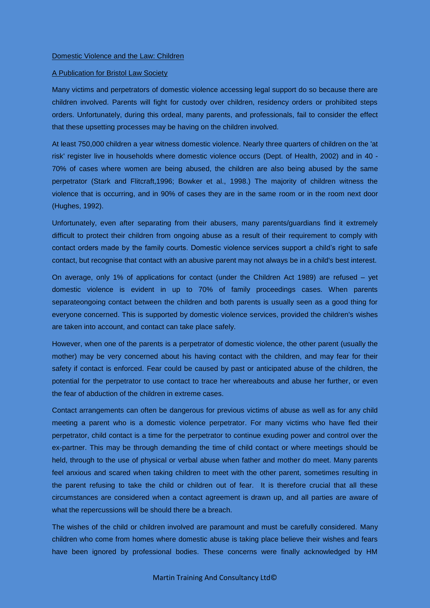## A Publication for Bristol Law Society

Many victims and perpetrators of domestic violence accessing legal support do so because there are children involved. Parents will fight for custody over children, residency orders or prohibited steps orders. Unfortunately, during this ordeal, many parents, and professionals, fail to consider the effect that these upsetting processes may be having on the children involved.

At least 750,000 children a year witness domestic violence. Nearly three quarters of children on the 'at risk' register live in households where domestic violence occurs (Dept. of Health, 2002) and in 40 - 70% of cases where women are being abused, the children are also being abused by the same perpetrator (Stark and Flitcraft,1996; Bowker et al., 1998.) The majority of children witness the violence that is occurring, and in 90% of cases they are in the same room or in the room next door (Hughes, 1992).

Unfortunately, even after separating from their abusers, many parents/guardians find it extremely difficult to protect their children from ongoing abuse as a result of their requirement to comply with contact orders made by the family courts. Domestic violence services support a child's right to safe contact, but recognise that [contact w](http://www.womensaid.org.uk/domestic_violence_topic.asp?section=0001000100220033&itemTitle=Child+contact)ith an abusive parent may not always be in a child's best interest.

On average, only 1% of applications for contact (under the Children Act 1989) are refused – yet domestic violence is evident in up to 70% of family proceedings cases. When parents separateongoing contact between the children and both parents is usually seen as a good thing for everyone concerned. This is supported by domestic violence services, provided the children's wishes are taken into account, and contact can take place safely.

However, when one of the parents is a perpetrator of domestic violence, the other parent (usually the mother) may be very concerned about his having contact with the children, and may fear for their safety if contact is enforced. Fear could be caused by past or anticipated abuse of the children, the potential for the perpetrator to use contact to trace her whereabouts and abuse her further, or even the fear of abduction of the children in extreme cases.

Contact arrangements can often be dangerous for previous victims of abuse as well as for any child meeting a parent who is a domestic violence perpetrator. For many victims who have fled their perpetrator, child contact is a time for the perpetrator to continue exuding power and control over the ex-partner. This may be through demanding the time of child contact or where meetings should be held, through to the use of physical or verbal abuse when father and mother do meet. Many parents feel anxious and scared when taking children to meet with the other parent, sometimes resulting in the parent refusing to take the child or children out of fear. It is therefore crucial that all these circumstances are considered when a contact agreement is drawn up, and all parties are aware of what the repercussions will be should there be a breach.

The wishes of the child or children involved are paramount and must be carefully considered. Many children who come from homes where domestic abuse is taking place believe their wishes and fears have been ignored by professional bodies. These concerns were finally acknowledged by HM